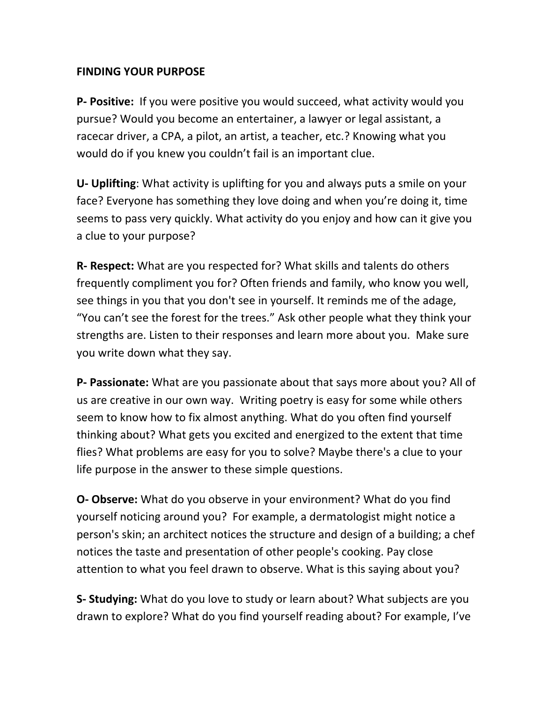## **FINDING YOUR PURPOSE**

**P- Positive:** If you were positive you would succeed, what activity would you pursue? Would you become an entertainer, a lawyer or legal assistant, a racecar driver, a CPA, a pilot, an artist, a teacher, etc.? Knowing what you would do if you knew you couldn't fail is an important clue.

**U- Uplifting**: What activity is uplifting for you and always puts a smile on your face? Everyone has something they love doing and when you're doing it, time seems to pass very quickly. What activity do you enjoy and how can it give you a clue to your purpose?

**R- Respect:** What are you respected for? What skills and talents do others frequently compliment you for? Often friends and family, who know you well, see things in you that you don't see in yourself. It reminds me of the adage, "You can't see the forest for the trees." Ask other people what they think your strengths are. Listen to their responses and learn more about you. Make sure you write down what they say.

**P- Passionate:** What are you passionate about that says more about you? All of us are creative in our own way. Writing poetry is easy for some while others seem to know how to fix almost anything. What do you often find yourself thinking about? What gets you excited and energized to the extent that time flies? What problems are easy for you to solve? Maybe there's a clue to your life purpose in the answer to these simple questions.

**O- Observe:** What do you observe in your environment? What do you find yourself noticing around you? For example, a dermatologist might notice a person's skin; an architect notices the structure and design of a building; a chef notices the taste and presentation of other people's cooking. Pay close attention to what you feel drawn to observe. What is this saying about you?

**S- Studying:** What do you love to study or learn about? What subjects are you drawn to explore? What do you find yourself reading about? For example, I've